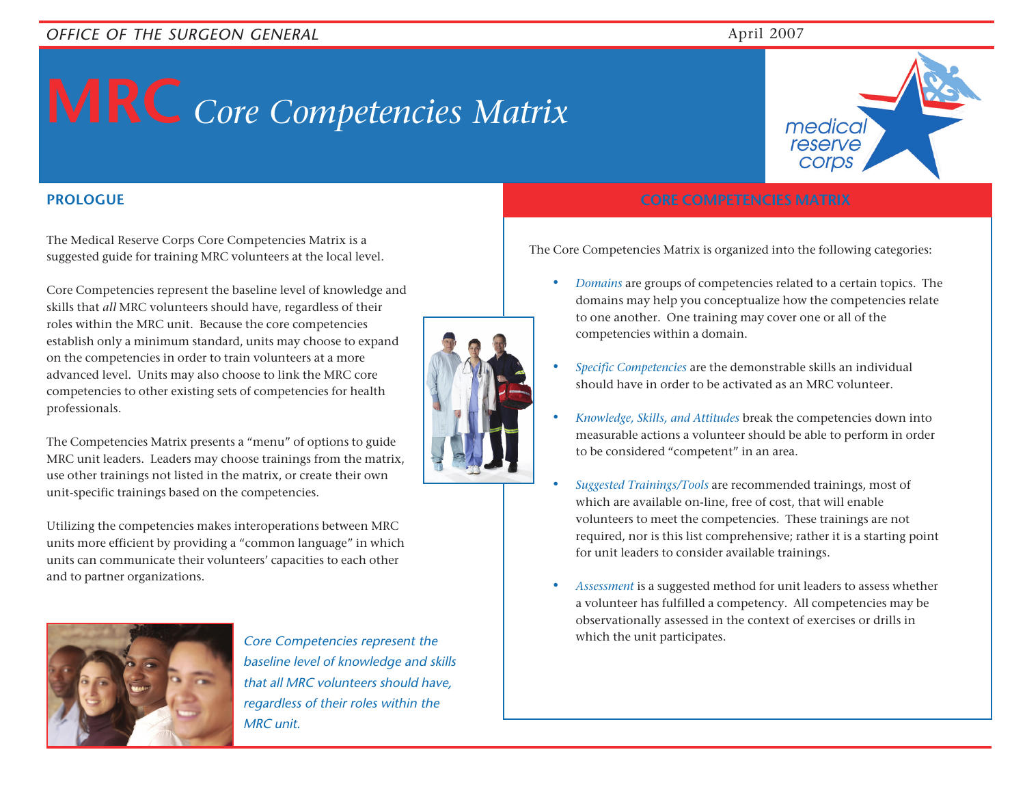## **MRC** *Core Competencies Matrix*

medica reserve corps

The Medical Reserve Corps Core Competencies Matrix is a suggested guide for training MRC volunteers at the local level.

Core Competencies represent the baseline level of knowledge and skills that *all* MRC volunteers should have, regardless of their roles within the MRC unit. Because the core competencies establish only a minimum standard, units may choose to expand on the competencies in order to train volunteers at a more advanced level. Units may also choose to link the MRC core competencies to other existing sets of competencies for health professionals.

The Competencies Matrix presents a "menu" of options to guide MRC unit leaders. Leaders may choose trainings from the matrix, use other trainings not listed in the matrix, or create their own unit-specific trainings based on the competencies.

Utilizing the competencies makes interoperations between MRC units more efficient by providing a "common language" in which units can communicate their volunteers' capacities to each other and to partner organizations.



Core Competencies represent the which the unit participates. baseline level of knowledge and skills that all MRC volunteers should have, regardless of their roles within the MRC unit.



#### **PROLOGUE CORE COMPETENCIES MATRIX**

The Core Competencies Matrix is organized into the following categories:

- *• Domains* are groups of competencies related to a certain topics. The domains may help you conceptualize how the competencies relate to one another. One training may cover one or all of the competencies within a domain.
- *• Specific Competencies* are the demonstrable skills an individual should have in order to be activated as an MRC volunteer.
- *• Knowledge, Skills, and Attitudes* break the competencies down into measurable actions a volunteer should be able to perform in order to be considered "competent" in an area.
- *• Suggested Trainings/Tools* are recommended trainings, most of which are available on-line, free of cost, that will enable volunteers to meet the competencies. These trainings are not required, nor is this list comprehensive; rather it is a starting point for unit leaders to consider available trainings.
- *• Assessment* is a suggested method for unit leaders to assess whether a volunteer has fulfilled a competency. All competencies may be observationally assessed in the context of exercises or drills in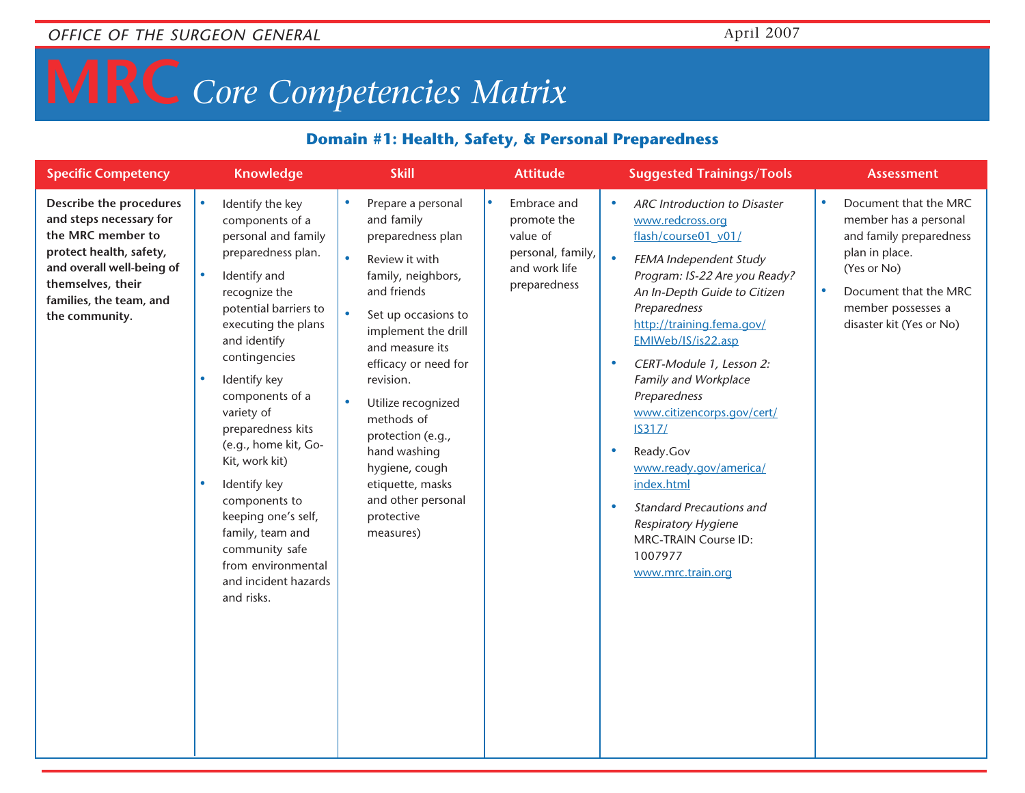## **MRC** *Core Competencies Matrix*

#### **Domain #1: Health, Safety, & Personal Preparedness**

| <b>Specific Competency</b>                                                                                                                                                                        | <b>Knowledge</b>                                                                                                                                                                                                                                                                                                                                                                                                                                                                                                                 | <b>Skill</b>                                                                                                                                                                                                                                                                                                                                                                                                                           | <b>Attitude</b>                                                                                           | <b>Suggested Trainings/Tools</b>                                                                                                                                                                                                                                                                                                                                                                                                                                                                                                                                                                       | <b>Assessment</b>                                                                                                                                                                                               |
|---------------------------------------------------------------------------------------------------------------------------------------------------------------------------------------------------|----------------------------------------------------------------------------------------------------------------------------------------------------------------------------------------------------------------------------------------------------------------------------------------------------------------------------------------------------------------------------------------------------------------------------------------------------------------------------------------------------------------------------------|----------------------------------------------------------------------------------------------------------------------------------------------------------------------------------------------------------------------------------------------------------------------------------------------------------------------------------------------------------------------------------------------------------------------------------------|-----------------------------------------------------------------------------------------------------------|--------------------------------------------------------------------------------------------------------------------------------------------------------------------------------------------------------------------------------------------------------------------------------------------------------------------------------------------------------------------------------------------------------------------------------------------------------------------------------------------------------------------------------------------------------------------------------------------------------|-----------------------------------------------------------------------------------------------------------------------------------------------------------------------------------------------------------------|
| Describe the procedures<br>and steps necessary for<br>the MRC member to<br>protect health, safety,<br>and overall well-being of<br>themselves, their<br>families, the team, and<br>the community. | Identify the key<br>$\bullet$<br>components of a<br>personal and family<br>preparedness plan.<br>Identify and<br>$\bullet$<br>recognize the<br>potential barriers to<br>executing the plans<br>and identify<br>contingencies<br>Identify key<br>$\bullet$<br>components of a<br>variety of<br>preparedness kits<br>(e.g., home kit, Go-<br>Kit, work kit)<br>Identify key<br>$\bullet$<br>components to<br>keeping one's self,<br>family, team and<br>community safe<br>from environmental<br>and incident hazards<br>and risks. | Prepare a personal<br>$\bullet$<br>and family<br>preparedness plan<br>$\bullet$<br>Review it with<br>family, neighbors,<br>and friends<br>$\bullet$<br>Set up occasions to<br>implement the drill<br>and measure its<br>efficacy or need for<br>revision.<br>Utilize recognized<br>$\bullet$<br>methods of<br>protection (e.g.,<br>hand washing<br>hygiene, cough<br>etiquette, masks<br>and other personal<br>protective<br>measures) | $\bullet$<br>Embrace and<br>promote the<br>value of<br>personal, family,<br>and work life<br>preparedness | <b>ARC</b> Introduction to Disaster<br>$\bullet$<br>www.redcross.org<br>flash/course01_v01/<br>$\bullet$<br>FEMA Independent Study<br>Program: IS-22 Are you Ready?<br>An In-Depth Guide to Citizen<br>Preparedness<br>http://training.fema.gov/<br>EMIWeb/IS/is22.asp<br>CERT-Module 1, Lesson 2:<br>$\bullet$<br>Family and Workplace<br>Preparedness<br>www.citizencorps.gov/cert/<br><b>IS317/</b><br>Ready.Gov<br>$\bullet$<br>www.ready.gov/america/<br>index.html<br><b>Standard Precautions and</b><br>۰<br>Respiratory Hygiene<br><b>MRC-TRAIN Course ID:</b><br>1007977<br>www.mrc.train.org | Document that the MRC<br>$\bullet$<br>member has a personal<br>and family preparedness<br>plan in place.<br>(Yes or No)<br>Document that the MRC<br>$\bullet$<br>member possesses a<br>disaster kit (Yes or No) |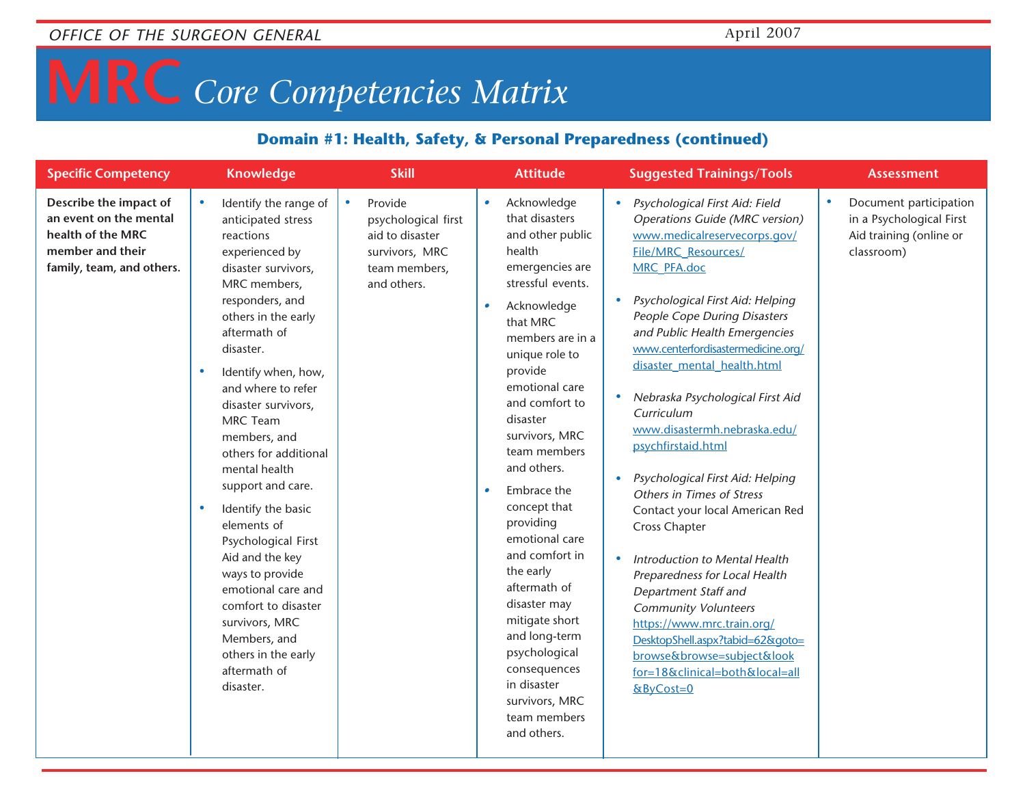## **MRC** *Core Competencies Matrix*

#### **Domain #1: Health, Safety, & Personal Preparedness (continued)**

| <b>Specific Competency</b>                                                                                             | <b>Knowledge</b>                                                                                                                                                                                                                                                                                                                                                                                                                                                                                                                                                                                                                           | <b>Skill</b>                                                                                                     | <b>Attitude</b>                                                                                                                                                                                                                                                                                                                                                                                                                                                                                                                                                                  | <b>Suggested Trainings/Tools</b>                                                                                                                                                                                                                                                                                                                                                                                                                                                                                                                                                                                                                                                                                                                                                                                                                               | <b>Assessment</b>                                                                                        |
|------------------------------------------------------------------------------------------------------------------------|--------------------------------------------------------------------------------------------------------------------------------------------------------------------------------------------------------------------------------------------------------------------------------------------------------------------------------------------------------------------------------------------------------------------------------------------------------------------------------------------------------------------------------------------------------------------------------------------------------------------------------------------|------------------------------------------------------------------------------------------------------------------|----------------------------------------------------------------------------------------------------------------------------------------------------------------------------------------------------------------------------------------------------------------------------------------------------------------------------------------------------------------------------------------------------------------------------------------------------------------------------------------------------------------------------------------------------------------------------------|----------------------------------------------------------------------------------------------------------------------------------------------------------------------------------------------------------------------------------------------------------------------------------------------------------------------------------------------------------------------------------------------------------------------------------------------------------------------------------------------------------------------------------------------------------------------------------------------------------------------------------------------------------------------------------------------------------------------------------------------------------------------------------------------------------------------------------------------------------------|----------------------------------------------------------------------------------------------------------|
| Describe the impact of<br>an event on the mental<br>health of the MRC<br>member and their<br>family, team, and others. | Identify the range of<br>$\bullet$<br>anticipated stress<br>reactions<br>experienced by<br>disaster survivors,<br>MRC members,<br>responders, and<br>others in the early<br>aftermath of<br>disaster.<br>Identify when, how,<br>$\bullet$<br>and where to refer<br>disaster survivors,<br><b>MRC Team</b><br>members, and<br>others for additional<br>mental health<br>support and care.<br>Identify the basic<br>$\bullet$<br>elements of<br>Psychological First<br>Aid and the key<br>ways to provide<br>emotional care and<br>comfort to disaster<br>survivors, MRC<br>Members, and<br>others in the early<br>aftermath of<br>disaster. | Provide<br>$\bullet$<br>psychological first<br>aid to disaster<br>survivors, MRC<br>team members,<br>and others. | Acknowledge<br>$\bullet$<br>that disasters<br>and other public<br>health<br>emergencies are<br>stressful events.<br>Acknowledge<br>٠<br>that MRC<br>members are in a<br>unique role to<br>provide<br>emotional care<br>and comfort to<br>disaster<br>survivors, MRC<br>team members<br>and others.<br>Embrace the<br>$\bullet$<br>concept that<br>providing<br>emotional care<br>and comfort in<br>the early<br>aftermath of<br>disaster may<br>mitigate short<br>and long-term<br>psychological<br>consequences<br>in disaster<br>survivors, MRC<br>team members<br>and others. | Psychological First Aid: Field<br><b>Operations Guide (MRC version)</b><br>www.medicalreservecorps.gov/<br><b>File/MRC Resources/</b><br><b>MRC PFA.doc</b><br>Psychological First Aid: Helping<br>People Cope During Disasters<br>and Public Health Emergencies<br>www.centerfordisastermedicine.org/<br>disaster mental health.html<br>Nebraska Psychological First Aid<br>$\bullet$<br>Curriculum<br>www.disastermh.nebraska.edu/<br>psychfirstaid.html<br>Psychological First Aid: Helping<br>Others in Times of Stress<br>Contact your local American Red<br><b>Cross Chapter</b><br>Introduction to Mental Health<br>Preparedness for Local Health<br>Department Staff and<br><b>Community Volunteers</b><br>https://www.mrc.train.org/<br>DesktopShell.aspx?tabid=62&goto=<br>browse&browse=subject&look<br>for=18&clinical=both&local=all<br>&ByCost=0 | Document participation<br>$\bullet$<br>in a Psychological First<br>Aid training (online or<br>classroom) |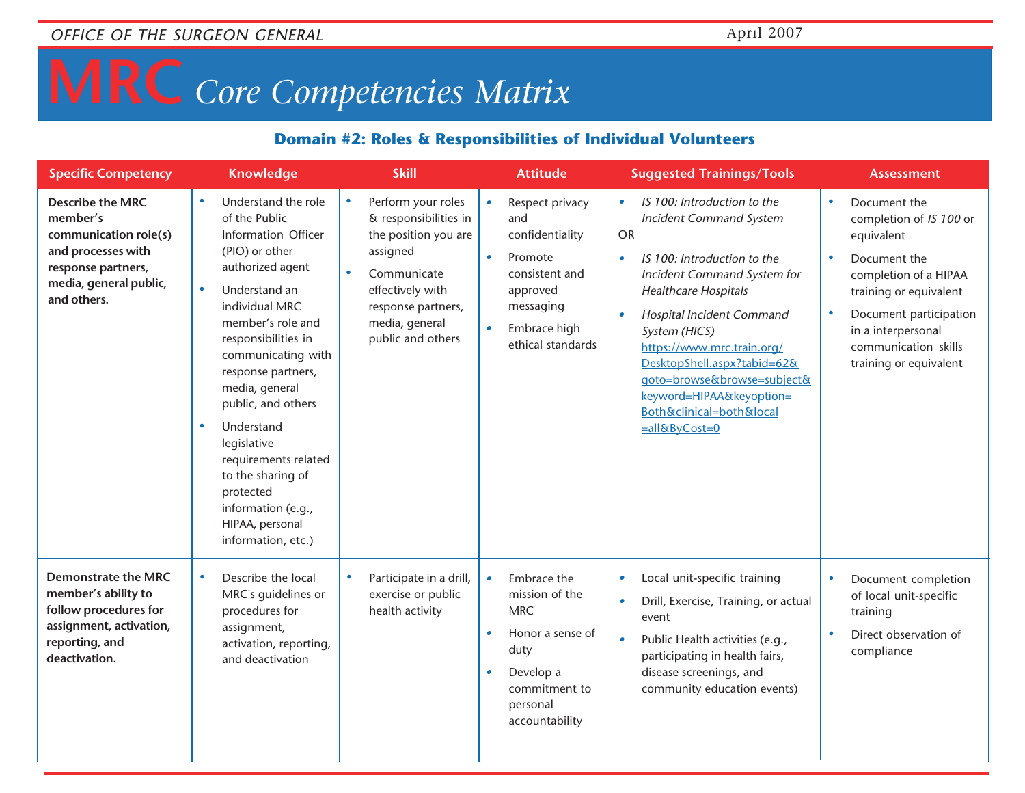# **MRC** *Core Competencies Matrix*

#### **Domain #2: Roles & Responsibilities of Individual Volunteers**

| <b>Specific Competency</b>                                                                                                                        | <b>Knowledge</b>                                                                                                                                                                                                                                                                                                                                                                                                                                                  | <b>Skill</b>                                                                                                                                                                                 | <b>Attitude</b>                                                                                                                                                | <b>Suggested Trainings/Tools</b>                                                                                                                                                                                                                                                                                                                                                                           | <b>Assessment</b>                                                                                                                                                                                                                                                 |
|---------------------------------------------------------------------------------------------------------------------------------------------------|-------------------------------------------------------------------------------------------------------------------------------------------------------------------------------------------------------------------------------------------------------------------------------------------------------------------------------------------------------------------------------------------------------------------------------------------------------------------|----------------------------------------------------------------------------------------------------------------------------------------------------------------------------------------------|----------------------------------------------------------------------------------------------------------------------------------------------------------------|------------------------------------------------------------------------------------------------------------------------------------------------------------------------------------------------------------------------------------------------------------------------------------------------------------------------------------------------------------------------------------------------------------|-------------------------------------------------------------------------------------------------------------------------------------------------------------------------------------------------------------------------------------------------------------------|
| <b>Describe the MRC</b><br>member's<br>communication role(s)<br>and processes with<br>response partners,<br>media, general public,<br>and others. | Understand the role<br>$\bullet$<br>of the Public<br>Information Officer<br>(PIO) or other<br>authorized agent<br>$\bullet$<br>Understand an<br>individual MRC<br>member's role and<br>responsibilities in<br>communicating with<br>response partners,<br>media, general<br>public, and others<br>Understand<br>$\bullet$<br>legislative<br>requirements related<br>to the sharing of<br>protected<br>information (e.g.,<br>HIPAA, personal<br>information, etc.) | Perform your roles<br>$\bullet$<br>& responsibilities in<br>the position you are<br>assigned<br>Communicate<br>effectively with<br>response partners,<br>media, general<br>public and others | Respect privacy<br>$\bullet$<br>and<br>confidentiality<br>Promote<br>$\bullet$<br>consistent and<br>approved<br>messaging<br>Embrace high<br>ethical standards | IS 100: Introduction to the<br><b>Incident Command System</b><br><b>OR</b><br>IS 100: Introduction to the<br>$\bullet$<br>Incident Command System for<br><b>Healthcare Hospitals</b><br>Hospital Incident Command<br>System (HICS)<br>https://www.mrc.train.org/<br>DesktopShell.aspx?tabid=62&<br>goto=browse&browse=subject&<br>keyword=HIPAA&keyoption=<br>Both&clinical=both&local<br>$=$ all&ByCost=0 | Document the<br>$\bullet$<br>completion of IS 100 or<br>equivalent<br>Document the<br>$\bullet$<br>completion of a HIPAA<br>training or equivalent<br>Document participation<br>$\bullet$<br>in a interpersonal<br>communication skills<br>training or equivalent |
| <b>Demonstrate the MRC</b><br>member's ability to<br>follow procedures for<br>assignment, activation,<br>reporting, and<br>deactivation.          | Describe the local<br>۰<br>MRC's guidelines or<br>procedures for<br>assignment,<br>activation, reporting,<br>and deactivation                                                                                                                                                                                                                                                                                                                                     | Participate in a drill,<br>exercise or public<br>health activity                                                                                                                             | Embrace the<br>mission of the<br><b>MRC</b><br>Honor a sense of<br>$\bullet$<br>duty<br>Develop a<br>$\bullet$<br>commitment to<br>personal<br>accountability  | Local unit-specific training<br>Drill, Exercise, Training, or actual<br>event<br>Public Health activities (e.g.,<br>participating in health fairs,<br>disease screenings, and<br>community education events)                                                                                                                                                                                               | Document completion<br>$\bullet$<br>of local unit-specific<br>training<br>Direct observation of<br>$\bullet$<br>compliance                                                                                                                                        |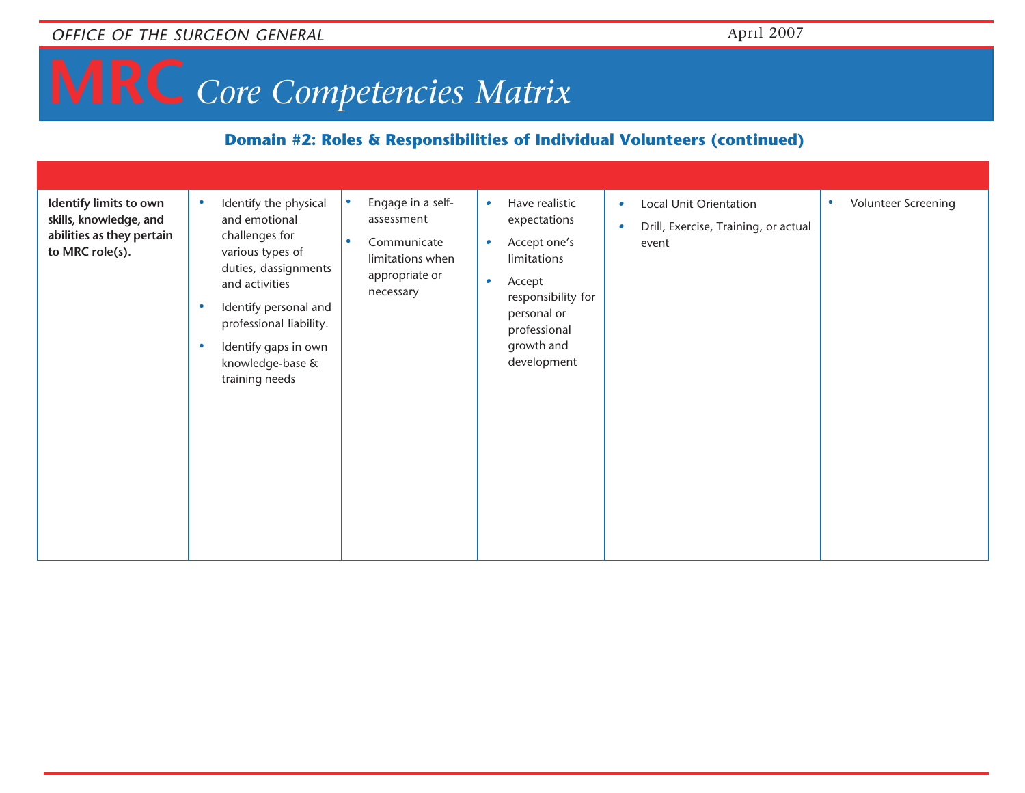## **MRC** *Core Competencies Matrix*

#### **Domain #2: Roles & Responsibilities of Individual Volunteers (continued)**

| Identify limits to own                                                 | Identify the physical                                                                                                                                                                                           | Engage in a self-<br>$\bullet$                                                            | Have realistic<br>$\bullet$                                                                                                                                       | Local Unit Orientation<br>$\bullet$                | Volunteer Screening<br>۰ |
|------------------------------------------------------------------------|-----------------------------------------------------------------------------------------------------------------------------------------------------------------------------------------------------------------|-------------------------------------------------------------------------------------------|-------------------------------------------------------------------------------------------------------------------------------------------------------------------|----------------------------------------------------|--------------------------|
| skills, knowledge, and<br>abilities as they pertain<br>to MRC role(s). | and emotional<br>challenges for<br>various types of<br>duties, dassignments<br>and activities<br>Identify personal and<br>professional liability.<br>Identify gaps in own<br>knowledge-base &<br>training needs | assessment<br>$\bullet$<br>Communicate<br>limitations when<br>appropriate or<br>necessary | expectations<br>Accept one's<br>$\bullet$<br>limitations<br>Accept<br>$\bullet$<br>responsibility for<br>personal or<br>professional<br>growth and<br>development | Drill, Exercise, Training, or actual<br>٠<br>event |                          |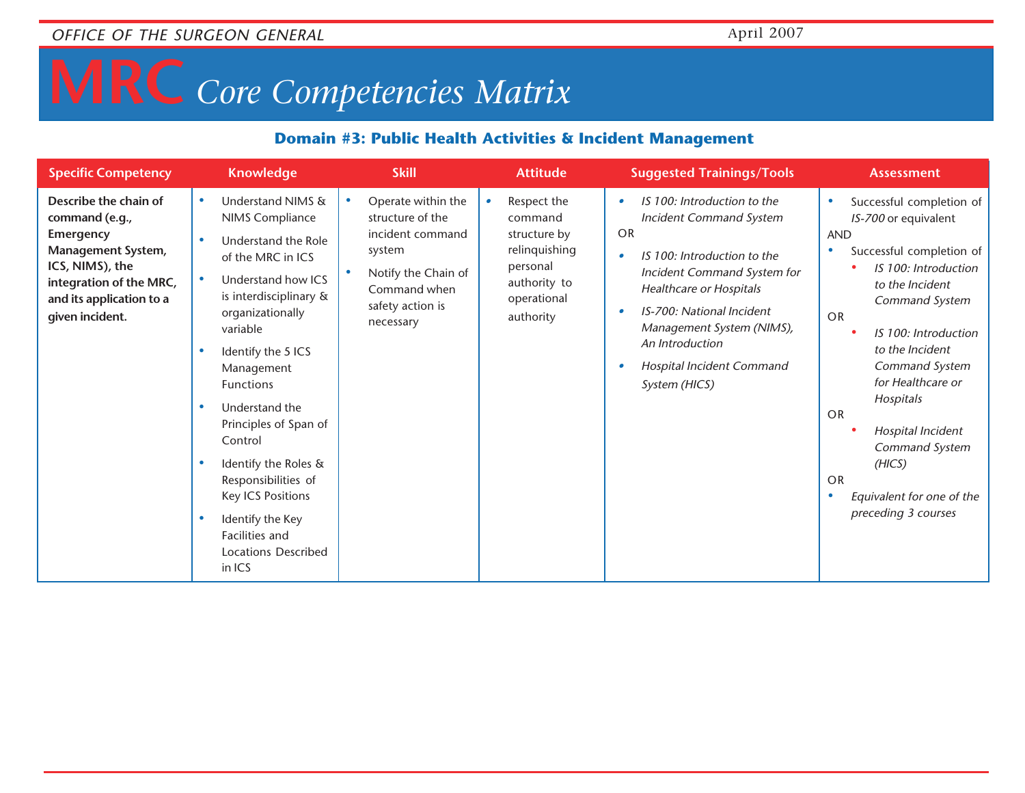# **MRC** *Core Competencies Matrix*

#### **Domain #3: Public Health Activities & Incident Management**

| <b>Specific Competency</b>                                                                                                                                                     | <b>Knowledge</b>                                                                                                                                                                                                                                                                                                                                                                                                                              | <b>Skill</b>                                                                                                                                              | <b>Attitude</b>                                                                                                 | <b>Suggested Trainings/Tools</b>                                                                                                                                                                                                                                                               | <b>Assessment</b>                                                                                                                                                                                                                                                                                                                                                                                 |
|--------------------------------------------------------------------------------------------------------------------------------------------------------------------------------|-----------------------------------------------------------------------------------------------------------------------------------------------------------------------------------------------------------------------------------------------------------------------------------------------------------------------------------------------------------------------------------------------------------------------------------------------|-----------------------------------------------------------------------------------------------------------------------------------------------------------|-----------------------------------------------------------------------------------------------------------------|------------------------------------------------------------------------------------------------------------------------------------------------------------------------------------------------------------------------------------------------------------------------------------------------|---------------------------------------------------------------------------------------------------------------------------------------------------------------------------------------------------------------------------------------------------------------------------------------------------------------------------------------------------------------------------------------------------|
| Describe the chain of<br>command (e.g.,<br>Emergency<br><b>Management System,</b><br>ICS, NIMS), the<br>integration of the MRC,<br>and its application to a<br>given incident. | Understand NIMS &<br>$\bullet$<br>NIMS Compliance<br>Understand the Role<br>of the MRC in ICS<br>Understand how ICS<br>is interdisciplinary &<br>organizationally<br>variable<br>Identify the 5 ICS<br>Management<br><b>Functions</b><br>Understand the<br>Principles of Span of<br>Control<br>Identify the Roles &<br>Responsibilities of<br><b>Key ICS Positions</b><br>Identify the Key<br>Facilities and<br>Locations Described<br>in ICS | Operate within the<br>$\bullet$<br>structure of the<br>incident command<br>system<br>Notify the Chain of<br>Command when<br>safety action is<br>necessary | Respect the<br>command<br>structure by<br>relinquishing<br>personal<br>authority to<br>operational<br>authority | IS 100: Introduction to the<br><b>Incident Command System</b><br>OR<br>IS 100: Introduction to the<br>Incident Command System for<br><b>Healthcare or Hospitals</b><br>IS-700: National Incident<br>Management System (NIMS),<br>An Introduction<br>Hospital Incident Command<br>System (HICS) | Successful completion of<br>$\bullet$<br>IS-700 or equivalent<br><b>AND</b><br>Successful completion of<br>IS 100: Introduction<br>to the Incident<br>Command System<br><b>OR</b><br>IS 100: Introduction<br>to the Incident<br>Command System<br>for Healthcare or<br>Hospitals<br>OR<br>Hospital Incident<br>Command System<br>(HICS)<br>OR<br>Equivalent for one of the<br>preceding 3 courses |